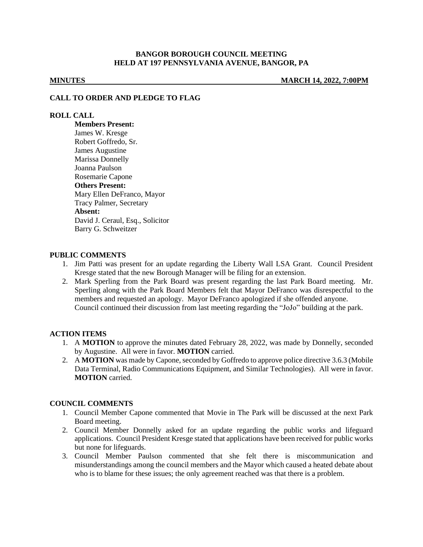## **BANGOR BOROUGH COUNCIL MEETING HELD AT 197 PENNSYLVANIA AVENUE, BANGOR, PA**

**MINUTES MARCH 14, 2022, 7:00PM**

#### **CALL TO ORDER AND PLEDGE TO FLAG**

#### **ROLL CALL**

**Members Present:** James W. Kresge Robert Goffredo, Sr. James Augustine Marissa Donnelly Joanna Paulson Rosemarie Capone **Others Present:** Mary Ellen DeFranco, Mayor Tracy Palmer, Secretary **Absent:** David J. Ceraul, Esq., Solicitor Barry G. Schweitzer

### **PUBLIC COMMENTS**

- 1. Jim Patti was present for an update regarding the Liberty Wall LSA Grant. Council President Kresge stated that the new Borough Manager will be filing for an extension.
- 2. Mark Sperling from the Park Board was present regarding the last Park Board meeting. Mr. Sperling along with the Park Board Members felt that Mayor DeFranco was disrespectful to the members and requested an apology. Mayor DeFranco apologized if she offended anyone. Council continued their discussion from last meeting regarding the "JoJo" building at the park.

#### **ACTION ITEMS**

- 1. A **MOTION** to approve the minutes dated February 28, 2022, was made by Donnelly, seconded by Augustine. All were in favor. **MOTION** carried.
- 2. A **MOTION** was made by Capone, seconded by Goffredo to approve police directive 3.6.3 (Mobile Data Terminal, Radio Communications Equipment, and Similar Technologies). All were in favor. **MOTION** carried.

#### **COUNCIL COMMENTS**

- 1. Council Member Capone commented that Movie in The Park will be discussed at the next Park Board meeting.
- 2. Council Member Donnelly asked for an update regarding the public works and lifeguard applications. Council President Kresge stated that applications have been received for public works but none for lifeguards.
- 3. Council Member Paulson commented that she felt there is miscommunication and misunderstandings among the council members and the Mayor which caused a heated debate about who is to blame for these issues; the only agreement reached was that there is a problem.